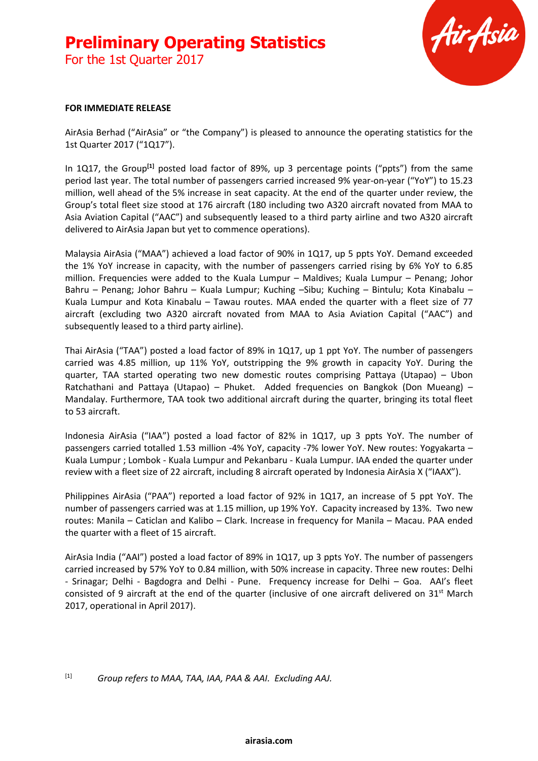### **Preliminary Operating Statistics** For the 1st Quarter 2017

Air Asia

#### **FOR IMMEDIATE RELEASE**

AirAsia Berhad ("AirAsia" or "the Company") is pleased to announce the operating statistics for the 1st Quarter 2017 ("1Q17").

In 1Q17, the Group<sup>[1]</sup> posted load factor of 89%, up 3 percentage points ("ppts") from the same period last year. The total number of passengers carried increased 9% year-on-year ("YoY") to 15.23 million, well ahead of the 5% increase in seat capacity. At the end of the quarter under review, the Group's total fleet size stood at 176 aircraft (180 including two A320 aircraft novated from MAA to Asia Aviation Capital ("AAC") and subsequently leased to a third party airline and two A320 aircraft delivered to AirAsia Japan but yet to commence operations).

Malaysia AirAsia ("MAA") achieved a load factor of 90% in 1Q17, up 5 ppts YoY. Demand exceeded the 1% YoY increase in capacity, with the number of passengers carried rising by 6% YoY to 6.85 million. Frequencies were added to the Kuala Lumpur – Maldives; Kuala Lumpur – Penang; Johor Bahru – Penang; Johor Bahru – Kuala Lumpur; Kuching –Sibu; Kuching – Bintulu; Kota Kinabalu – Kuala Lumpur and Kota Kinabalu – Tawau routes. MAA ended the quarter with a fleet size of 77 aircraft (excluding two A320 aircraft novated from MAA to Asia Aviation Capital ("AAC") and subsequently leased to a third party airline).

Thai AirAsia ("TAA") posted a load factor of 89% in 1Q17, up 1 ppt YoY. The number of passengers carried was 4.85 million, up 11% YoY, outstripping the 9% growth in capacity YoY. During the quarter, TAA started operating two new domestic routes comprising Pattaya (Utapao) – Ubon Ratchathani and Pattaya (Utapao) – Phuket. Added frequencies on Bangkok (Don Mueang) – Mandalay. Furthermore, TAA took two additional aircraft during the quarter, bringing its total fleet to 53 aircraft.

Indonesia AirAsia ("IAA") posted a load factor of 82% in 1Q17, up 3 ppts YoY. The number of passengers carried totalled 1.53 million -4% YoY, capacity -7% lower YoY. New routes: Yogyakarta – Kuala Lumpur ; Lombok - Kuala Lumpur and Pekanbaru - Kuala Lumpur. IAA ended the quarter under review with a fleet size of 22 aircraft, including 8 aircraft operated by Indonesia AirAsia X ("IAAX").

Philippines AirAsia ("PAA") reported a load factor of 92% in 1Q17, an increase of 5 ppt YoY. The number of passengers carried was at 1.15 million, up 19% YoY. Capacity increased by 13%. Two new routes: Manila – Caticlan and Kalibo – Clark. Increase in frequency for Manila – Macau. PAA ended the quarter with a fleet of 15 aircraft.

AirAsia India ("AAI") posted a load factor of 89% in 1Q17, up 3 ppts YoY. The number of passengers carried increased by 57% YoY to 0.84 million, with 50% increase in capacity. Three new routes: Delhi - Srinagar; Delhi - Bagdogra and Delhi - Pune. Frequency increase for Delhi – Goa. AAI's fleet consisted of 9 aircraft at the end of the quarter (inclusive of one aircraft delivered on  $31<sup>st</sup>$  March 2017, operational in April 2017).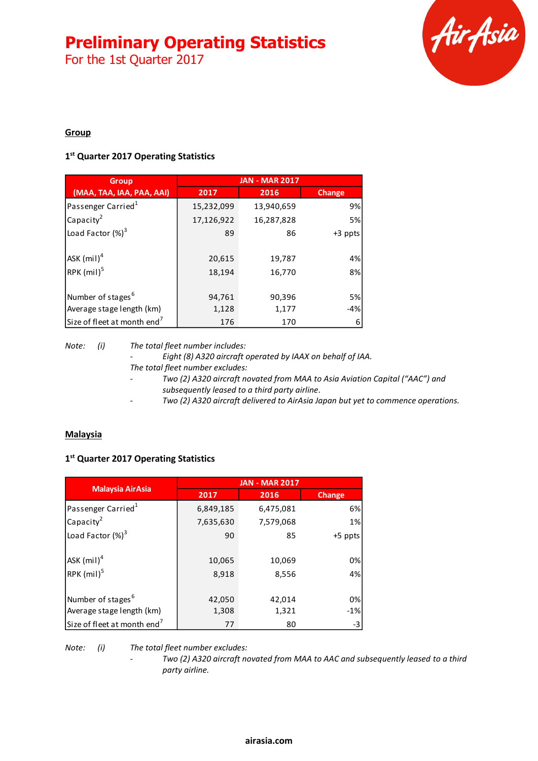For the 1st Quarter 2017



#### **Group**

#### **1 st Quarter 2017 Operating Statistics**

| <b>Group</b>                            | <b>JAN - MAR 2017</b> |            |         |
|-----------------------------------------|-----------------------|------------|---------|
| (MAA, TAA, IAA, PAA, AAI)               | 2017                  | 2016       | Change  |
| Passenger Carried <sup>1</sup>          | 15,232,099            | 13,940,659 | 9%      |
| Capacity <sup>2</sup>                   | 17,126,922            | 16,287,828 | 5%      |
| Load Factor $(\%)^3$                    | 89                    | 86         | +3 ppts |
| $ASK$ (mil) <sup>4</sup>                | 20,615                | 19,787     | 4%      |
| RPK $(mil)^5$                           | 18,194                | 16,770     | 8%      |
| Number of stages <sup>6</sup>           | 94,761                | 90,396     | 5%      |
| Average stage length (km)               | 1,128                 | 1,177      | $-4%$   |
| Size of fleet at month end <sup>7</sup> | 176                   | 170        | 6       |

*Note: (i) The total fleet number includes:*

*- Eight (8) A320 aircraft operated by IAAX on behalf of IAA.*

- *The total fleet number excludes:*
- *- Two (2) A320 aircraft novated from MAA to Asia Aviation Capital ("AAC") and subsequently leased to a third party airline.*
- *- Two (2) A320 aircraft delivered to AirAsia Japan but yet to commence operations.*

#### **Malaysia**

#### **1 st Quarter 2017 Operating Statistics**

|                                         | <b>JAN - MAR 2017</b> |           |         |  |
|-----------------------------------------|-----------------------|-----------|---------|--|
| <b>Malaysia AirAsia</b>                 | 2017                  | 2016      | Change  |  |
| Passenger Carried <sup>1</sup>          | 6,849,185             | 6,475,081 | 6%      |  |
| Capacity <sup>2</sup>                   | 7,635,630             | 7,579,068 | 1%      |  |
| Load Factor $(\%)^3$                    | 90                    | 85        | +5 ppts |  |
| $ASK$ (mil) <sup>4</sup>                | 10,065                | 10,069    | 0%      |  |
| RPK $(mil)^5$                           | 8,918                 | 8,556     | 4%      |  |
| Number of stages <sup>6</sup>           | 42,050                | 42,014    | 0%      |  |
| Average stage length (km)               | 1,308                 | 1,321     | $-1%$   |  |
| Size of fleet at month end <sup>7</sup> | 77                    | 80        | $-3$    |  |

*Note: (i) The total fleet number excludes:*

*- Two (2) A320 aircraft novated from MAA to AAC and subsequently leased to a third party airline.*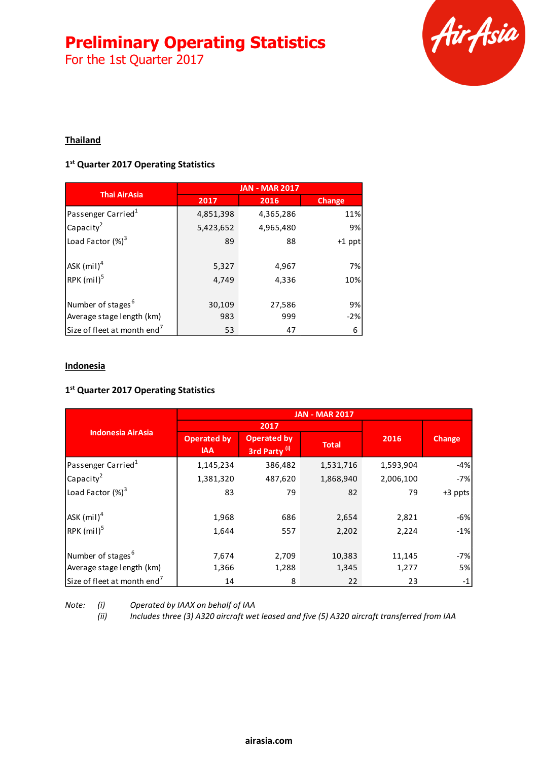For the 1st Quarter 2017



#### **Thailand**

#### **1 st Quarter 2017 Operating Statistics**

| <b>Thai AirAsia</b>                       | <b>JAN - MAR 2017</b> |                |               |  |
|-------------------------------------------|-----------------------|----------------|---------------|--|
|                                           | 2017                  | 2016           | <b>Change</b> |  |
| Passenger Carried <sup>1</sup>            | 4,851,398             | 4,365,286      | 11%           |  |
| Capacity <sup>2</sup>                     | 5,423,652             | 4,965,480      | 9%            |  |
| Load Factor $(\%)^3$                      | 89                    | 88             | +1 ppt        |  |
| $ASK$ (mil) <sup>4</sup><br>RPK $(mil)^5$ | 5,327<br>4,749        | 4,967<br>4,336 | 7%<br>10%     |  |
| Number of stages <sup>6</sup>             | 30,109                | 27,586         | 9%            |  |
| Average stage length (km)                 | 983                   | 999            | $-2%$         |  |
| Size of fleet at month end <sup>7</sup>   | 53                    | 47             | 6             |  |

#### **Indonesia**

#### **1 st Quarter 2017 Operating Statistics**

|                                         | <b>JAN - MAR 2017</b>            |                                                |              |           |         |
|-----------------------------------------|----------------------------------|------------------------------------------------|--------------|-----------|---------|
|                                         |                                  | 2017                                           |              |           |         |
| <b>Indonesia AirAsia</b>                | <b>Operated by</b><br><b>IAA</b> | <b>Operated by</b><br>3rd Party <sup>(i)</sup> | <b>Total</b> | 2016      | Change  |
| Passenger Carried <sup>1</sup>          | 1,145,234                        | 386,482                                        | 1,531,716    | 1,593,904 | $-4%$   |
| Capacity <sup>2</sup>                   | 1,381,320                        | 487,620                                        | 1,868,940    | 2,006,100 | $-7%$   |
| Load Factor (%) <sup>3</sup>            | 83                               | 79                                             | 82           | 79        | +3 ppts |
| $ASK$ (mil) <sup>4</sup>                | 1,968                            | 686                                            | 2,654        | 2,821     | $-6%$   |
| RPK (mil) <sup>5</sup>                  | 1,644                            | 557                                            | 2,202        | 2,224     | $-1%$   |
| Number of stages <sup>6</sup>           | 7,674                            | 2,709                                          | 10,383       | 11,145    | $-7%$   |
| Average stage length (km)               | 1,366                            | 1,288                                          | 1,345        | 1,277     | 5%      |
| Size of fleet at month end <sup>7</sup> | 14                               | 8                                              | 22           | 23        | $-1$    |

*Note: (i) Operated by IAAX on behalf of IAA*

*(ii) Includes three (3) A320 aircraft wet leased and five (5) A320 aircraft transferred from IAA*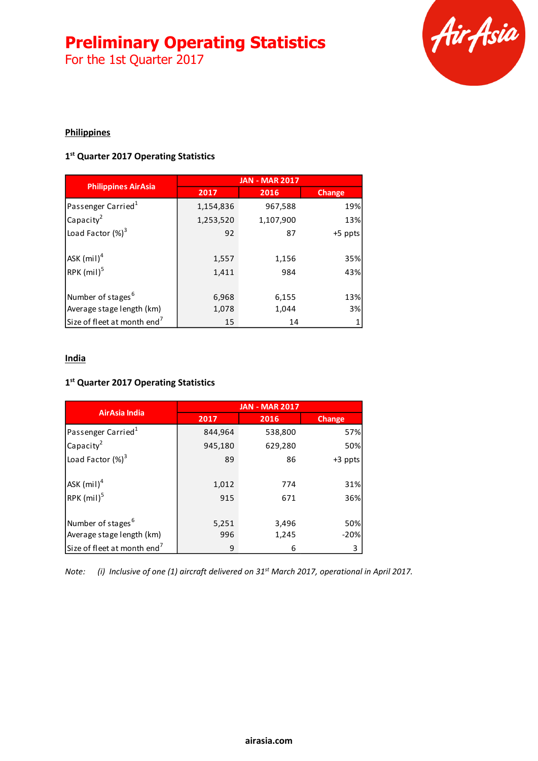For the 1st Quarter 2017



#### **Philippines**

#### **1 st Quarter 2017 Operating Statistics**

| <b>Philippines AirAsia</b>              | <b>JAN - MAR 2017</b> |           |               |  |
|-----------------------------------------|-----------------------|-----------|---------------|--|
|                                         | 2017                  | 2016      | <b>Change</b> |  |
| Passenger Carried <sup>1</sup>          | 1,154,836             | 967,588   | 19%           |  |
| Capacity <sup>2</sup>                   | 1,253,520             | 1,107,900 | 13%           |  |
| Load Factor (%) <sup>3</sup>            | 92                    | 87        | $+5$ ppts     |  |
|                                         |                       |           |               |  |
| $ASK$ (mil) <sup>4</sup>                | 1,557                 | 1,156     | 35%           |  |
| RPK $(mil)^5$                           | 1,411                 | 984       | 43%           |  |
|                                         |                       |           |               |  |
| Number of stages <sup>6</sup>           | 6,968                 | 6,155     | 13%           |  |
| Average stage length (km)               | 1,078                 | 1,044     | 3%            |  |
| Size of fleet at month end <sup>7</sup> | 15                    | 14        |               |  |

#### **India**

#### **1 st Quarter 2017 Operating Statistics**

|                                         | <b>JAN - MAR 2017</b> |         |         |  |
|-----------------------------------------|-----------------------|---------|---------|--|
| AirAsia India                           | 2017                  | 2016    | Change  |  |
| Passenger Carried <sup>1</sup>          | 844,964               | 538,800 | 57%     |  |
| Capacity <sup>2</sup>                   | 945,180               | 629,280 | 50%     |  |
| Load Factor $(\%)^3$                    | 89                    | 86      | +3 ppts |  |
| ASK $(mil)^4$                           | 1,012                 | 774     | 31%     |  |
| RPK (mil) <sup>5</sup>                  | 915                   | 671     | 36%     |  |
| Number of stages <sup>6</sup>           | 5,251                 | 3,496   | 50%     |  |
| Average stage length (km)               | 996                   | 1,245   | $-20%$  |  |
| Size of fleet at month end <sup>7</sup> | 9                     | 6       | 3       |  |

*Note: (i) Inclusive of one (1) aircraft delivered on 31st March 2017, operational in April 2017.*